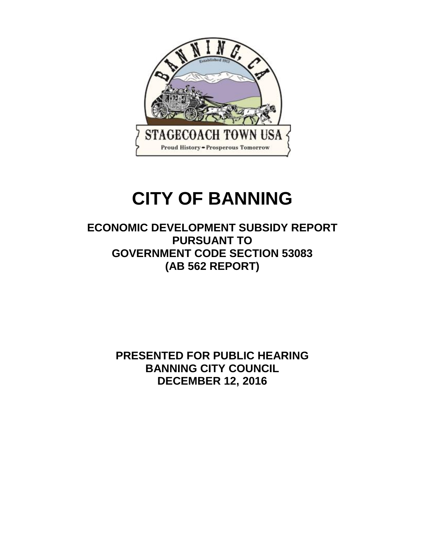

# **CITY OF BANNING**

**ECONOMIC DEVELOPMENT SUBSIDY REPORT PURSUANT TO GOVERNMENT CODE SECTION 53083 (AB 562 REPORT)**

> **PRESENTED FOR PUBLIC HEARING BANNING CITY COUNCIL DECEMBER 12, 2016**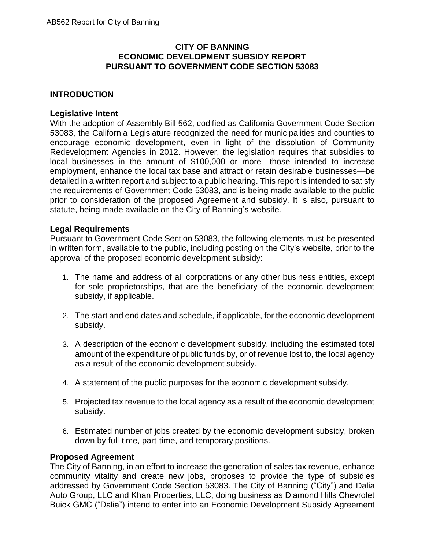## **CITY OF BANNING ECONOMIC DEVELOPMENT SUBSIDY REPORT PURSUANT TO GOVERNMENT CODE SECTION 53083**

# **INTRODUCTION**

#### **Legislative Intent**

With the adoption of Assembly Bill 562, codified as California Government Code Section 53083, the California Legislature recognized the need for municipalities and counties to encourage economic development, even in light of the dissolution of Community Redevelopment Agencies in 2012. However, the legislation requires that subsidies to local businesses in the amount of \$100,000 or more—those intended to increase employment, enhance the local tax base and attract or retain desirable businesses—be detailed in a written report and subject to a public hearing. This report is intended to satisfy the requirements of Government Code 53083, and is being made available to the public prior to consideration of the proposed Agreement and subsidy. It is also, pursuant to statute, being made available on the City of Banning's website.

#### **Legal Requirements**

Pursuant to Government Code Section 53083, the following elements must be presented in written form, available to the public, including posting on the City's website, prior to the approval of the proposed economic development subsidy:

- 1. The name and address of all corporations or any other business entities, except for sole proprietorships, that are the beneficiary of the economic development subsidy, if applicable.
- 2. The start and end dates and schedule, if applicable, for the economic development subsidy.
- 3. A description of the economic development subsidy, including the estimated total amount of the expenditure of public funds by, or of revenue lost to, the local agency as a result of the economic development subsidy.
- 4. A statement of the public purposes for the economic development subsidy.
- 5. Projected tax revenue to the local agency as a result of the economic development subsidy.
- 6. Estimated number of jobs created by the economic development subsidy, broken down by full-time, part-time, and temporary positions.

#### **Proposed Agreement**

The City of Banning, in an effort to increase the generation of sales tax revenue, enhance community vitality and create new jobs, proposes to provide the type of subsidies addressed by Government Code Section 53083. The City of Banning ("City") and Dalia Auto Group, LLC and Khan Properties, LLC, doing business as Diamond Hills Chevrolet Buick GMC ("Dalia") intend to enter into an Economic Development Subsidy Agreement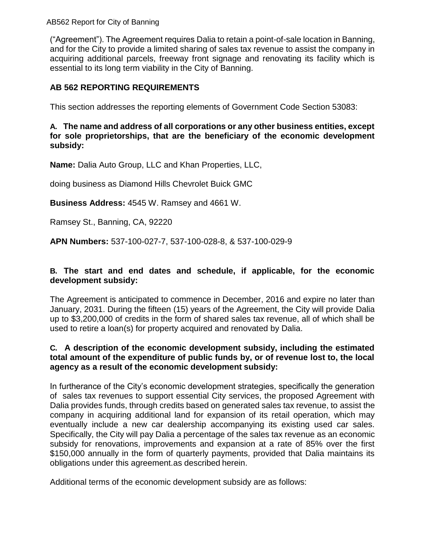AB562 Report for City of Banning

("Agreement"). The Agreement requires Dalia to retain a point-of-sale location in Banning, and for the City to provide a limited sharing of sales tax revenue to assist the company in acquiring additional parcels, freeway front signage and renovating its facility which is essential to its long term viability in the City of Banning.

## **AB 562 REPORTING REQUIREMENTS**

This section addresses the reporting elements of Government Code Section 53083:

#### **A. The name and address of all corporations or any other business entities, except for sole proprietorships, that are the beneficiary of the economic development subsidy:**

**Name:** Dalia Auto Group, LLC and Khan Properties, LLC,

doing business as Diamond Hills Chevrolet Buick GMC

**Business Address:** 4545 W. Ramsey and 4661 W.

Ramsey St., Banning, CA, 92220

**APN Numbers:** 537-100-027-7, 537-100-028-8, & 537-100-029-9

## **B. The start and end dates and schedule, if applicable, for the economic development subsidy:**

The Agreement is anticipated to commence in December, 2016 and expire no later than January, 2031. During the fifteen (15) years of the Agreement, the City will provide Dalia up to \$3,200,000 of credits in the form of shared sales tax revenue, all of which shall be used to retire a loan(s) for property acquired and renovated by Dalia.

## **C. A description of the economic development subsidy, including the estimated total amount of the expenditure of public funds by, or of revenue lost to, the local agency as a result of the economic development subsidy:**

In furtherance of the City's economic development strategies, specifically the generation of sales tax revenues to support essential City services, the proposed Agreement with Dalia provides funds, through credits based on generated sales tax revenue, to assist the company in acquiring additional land for expansion of its retail operation, which may eventually include a new car dealership accompanying its existing used car sales. Specifically, the City will pay Dalia a percentage of the sales tax revenue as an economic subsidy for renovations, improvements and expansion at a rate of 85% over the first \$150,000 annually in the form of quarterly payments, provided that Dalia maintains its obligations under this agreement.as described herein.

Additional terms of the economic development subsidy are as follows: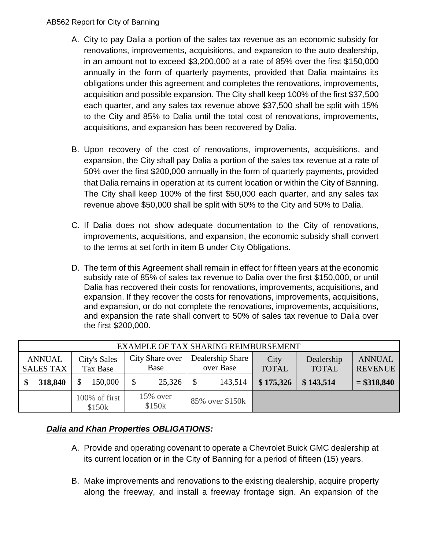#### AB562 Report for City of Banning

- A. City to pay Dalia a portion of the sales tax revenue as an economic subsidy for renovations, improvements, acquisitions, and expansion to the auto dealership, in an amount not to exceed \$3,200,000 at a rate of 85% over the first \$150,000 annually in the form of quarterly payments, provided that Dalia maintains its obligations under this agreement and completes the renovations, improvements, acquisition and possible expansion. The City shall keep 100% of the first \$37,500 each quarter, and any sales tax revenue above \$37,500 shall be split with 15% to the City and 85% to Dalia until the total cost of renovations, improvements, acquisitions, and expansion has been recovered by Dalia.
- B. Upon recovery of the cost of renovations, improvements, acquisitions, and expansion, the City shall pay Dalia a portion of the sales tax revenue at a rate of 50% over the first \$200,000 annually in the form of quarterly payments, provided that Dalia remains in operation at its current location or within the City of Banning. The City shall keep 100% of the first \$50,000 each quarter, and any sales tax revenue above \$50,000 shall be split with 50% to the City and 50% to Dalia.
- C. If Dalia does not show adequate documentation to the City of renovations, improvements, acquisitions, and expansion, the economic subsidy shall convert to the terms at set forth in item B under City Obligations.
- D. The term of this Agreement shall remain in effect for fifteen years at the economic subsidy rate of 85% of sales tax revenue to Dalia over the first \$150,000, or until Dalia has recovered their costs for renovations, improvements, acquisitions, and expansion. If they recover the costs for renovations, improvements, acquisitions, and expansion, or do not complete the renovations, improvements, acquisitions, and expansion the rate shall convert to 50% of sales tax revenue to Dalia over the first \$200,000.

| EXAMPLE OF TAX SHARING REIMBURSEMENT |                            |                         |                               |                      |                            |                                 |
|--------------------------------------|----------------------------|-------------------------|-------------------------------|----------------------|----------------------------|---------------------------------|
| <b>ANNUAL</b><br><b>SALES TAX</b>    | City's Sales<br>Tax Base   | City Share over<br>Base | Dealership Share<br>over Base | City<br><b>TOTAL</b> | Dealership<br><b>TOTAL</b> | <b>ANNUAL</b><br><b>REVENUE</b> |
| 318,840                              | 150,000                    | \$<br>25,326            | 143,514                       | \$175,326            | \$143,514                  | $= $318,840$                    |
|                                      | $100\%$ of first<br>\$150k | $15\%$ over<br>\$150k   | 85% over \$150k               |                      |                            |                                 |

# *Dalia and Khan Properties OBLIGATIONS:*

- A. Provide and operating covenant to operate a Chevrolet Buick GMC dealership at its current location or in the City of Banning for a period of fifteen (15) years.
- B. Make improvements and renovations to the existing dealership, acquire property along the freeway, and install a freeway frontage sign. An expansion of the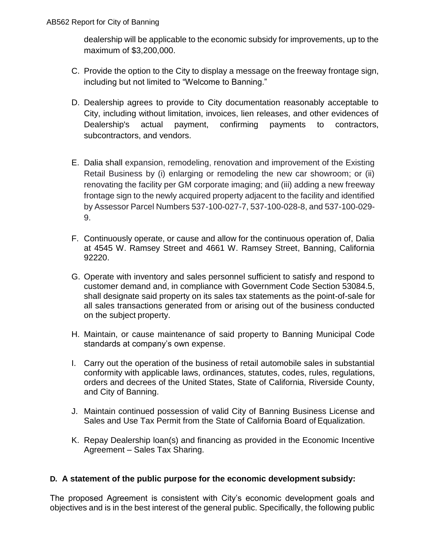dealership will be applicable to the economic subsidy for improvements, up to the maximum of \$3,200,000.

- C. Provide the option to the City to display a message on the freeway frontage sign, including but not limited to "Welcome to Banning."
- D. Dealership agrees to provide to City documentation reasonably acceptable to City, including without limitation, invoices, lien releases, and other evidences of Dealership's actual payment, confirming payments to contractors, subcontractors, and vendors.
- E. Dalia shall expansion, remodeling, renovation and improvement of the Existing Retail Business by (i) enlarging or remodeling the new car showroom; or (ii) renovating the facility per GM corporate imaging; and (iii) adding a new freeway frontage sign to the newly acquired property adjacent to the facility and identified by Assessor Parcel Numbers 537-100-027-7, 537-100-028-8, and 537-100-029- 9.
- F. Continuously operate, or cause and allow for the continuous operation of, Dalia at 4545 W. Ramsey Street and 4661 W. Ramsey Street, Banning, California 92220.
- G. Operate with inventory and sales personnel sufficient to satisfy and respond to customer demand and, in compliance with Government Code Section 53084.5, shall designate said property on its sales tax statements as the point-of-sale for all sales transactions generated from or arising out of the business conducted on the subject property.
- H. Maintain, or cause maintenance of said property to Banning Municipal Code standards at company's own expense.
- I. Carry out the operation of the business of retail automobile sales in substantial conformity with applicable laws, ordinances, statutes, codes, rules, regulations, orders and decrees of the United States, State of California, Riverside County, and City of Banning.
- J. Maintain continued possession of valid City of Banning Business License and Sales and Use Tax Permit from the State of California Board of Equalization.
- K. Repay Dealership loan(s) and financing as provided in the Economic Incentive Agreement – Sales Tax Sharing.

## **D. A statement of the public purpose for the economic development subsidy:**

The proposed Agreement is consistent with City's economic development goals and objectives and is in the best interest of the general public. Specifically, the following public